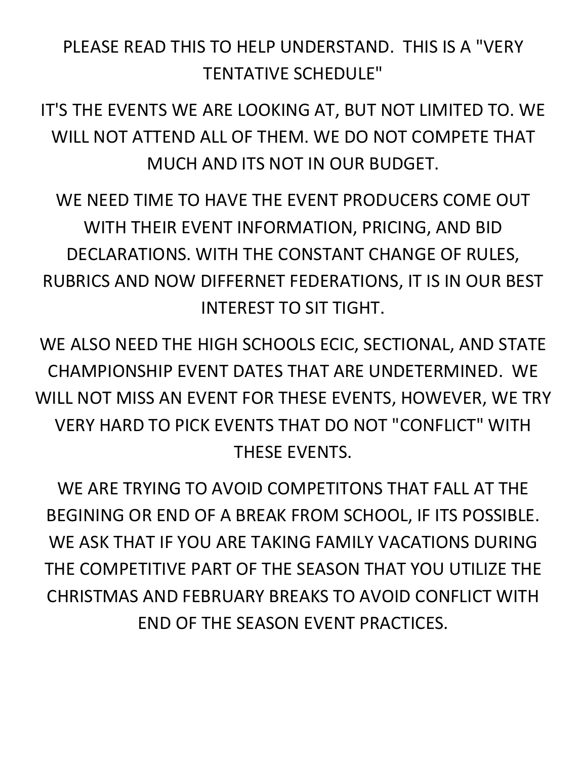## PLEASE READ THIS TO HELP UNDERSTAND. THIS IS A "VERY TENTATIVE SCHEDULE"

IT'S THE EVENTS WE ARE LOOKING AT, BUT NOT LIMITED TO. WE WILL NOT ATTEND ALL OF THEM. WE DO NOT COMPETE THAT MUCH AND ITS NOT IN OUR BUDGET.

WE NEED TIME TO HAVE THE EVENT PRODUCERS COME OUT WITH THEIR EVENT INFORMATION, PRICING, AND BID DECLARATIONS. WITH THE CONSTANT CHANGE OF RULES, RUBRICS AND NOW DIFFERNET FEDERATIONS, IT IS IN OUR BEST INTEREST TO SIT TIGHT.

WE ALSO NEED THE HIGH SCHOOLS ECIC, SECTIONAL, AND STATE CHAMPIONSHIP EVENT DATES THAT ARE UNDETERMINED. WE WILL NOT MISS AN EVENT FOR THESE EVENTS, HOWEVER, WE TRY VERY HARD TO PICK EVENTS THAT DO NOT "CONFLICT" WITH THESE EVENTS.

WE ARE TRYING TO AVOID COMPETITONS THAT FALL AT THE BEGINING OR END OF A BREAK FROM SCHOOL, IF ITS POSSIBLE. WE ASK THAT IF YOU ARE TAKING FAMILY VACATIONS DURING THE COMPETITIVE PART OF THE SEASON THAT YOU UTILIZE THE CHRISTMAS AND FEBRUARY BREAKS TO AVOID CONFLICT WITH END OF THE SEASON EVENT PRACTICES.